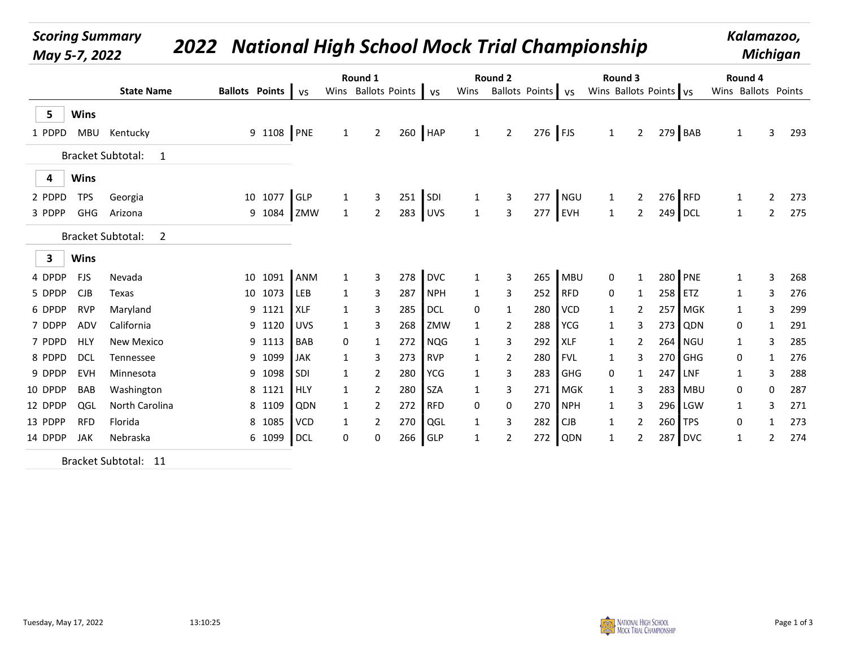## Scoring Summary National High School Mock Trial Championship May 5-7, 2022 <sup>2022</sup> Kalamazoo,

Michigan

|                                        | <b>State Name</b>    |          |  | Ballots Points   VS |             |              | Round 1        |     |                              | <b>Round 2</b> |                |           |                | Round 3<br>Wins Ballots Points vs Wins Ballots Points vs Wins Ballots Points vs |                                                 |  | Round 4<br>Wins Ballots Points |              |                |             |  |
|----------------------------------------|----------------------|----------|--|---------------------|-------------|--------------|----------------|-----|------------------------------|----------------|----------------|-----------|----------------|---------------------------------------------------------------------------------|-------------------------------------------------|--|--------------------------------|--------------|----------------|-------------|--|
| $5\overline{)}$<br><b>Wins</b>         |                      |          |  |                     |             |              |                |     |                              |                |                |           |                |                                                                                 |                                                 |  |                                |              |                |             |  |
| 1 PDPD MBU Kentucky                    |                      |          |  |                     | 9 1108 PNE  | $\mathbf{1}$ | $2^{\circ}$    |     | $260$ HAP                    | $\mathbf{1}$   | $2^{\circ}$    | $276$ FJS |                | 1                                                                               |                                                 |  | 2 $279$ BAB                    | $\mathbf{1}$ | 3 <sup>7</sup> | 293         |  |
|                                        | Bracket Subtotal: 1  |          |  |                     |             |              |                |     |                              |                |                |           |                |                                                                                 |                                                 |  |                                |              |                |             |  |
| $\overline{\mathbf{4}}$<br><b>Wins</b> |                      |          |  |                     |             |              |                |     |                              |                |                |           |                |                                                                                 |                                                 |  |                                |              |                |             |  |
| 2 PDPD<br><b>TPS</b>                   | Georgia              |          |  | 10 1077 GLP         |             | $\mathbf{1}$ | $\mathbf{3}$   |     | $251$ SDI                    | $\mathbf{1}$   | $\mathbf{3}$   |           | 277 NGU        | $\mathbf{1}$                                                                    | $2^{\circ}$                                     |  | $276$ RFD                      | $\mathbf{1}$ | $2^{\circ}$    | 273         |  |
| 3 PDPP GHG Arizona                     |                      |          |  |                     | 9 1084 ZMW  | $\mathbf{1}$ | $\overline{2}$ |     | 283 UVS                      | $\overline{1}$ | $\mathbf{3}$   |           | $277$ EVH      | $\mathbf{1}$                                                                    | $2^{\circ}$                                     |  | 249 DCL                        | $\mathbf{1}$ |                | 2 275       |  |
|                                        | Bracket Subtotal: 2  |          |  |                     |             |              |                |     |                              |                |                |           |                |                                                                                 |                                                 |  |                                |              |                |             |  |
| $\overline{\mathbf{3}}$<br><b>Wins</b> |                      |          |  |                     |             |              |                |     |                              |                |                |           |                |                                                                                 |                                                 |  |                                |              |                |             |  |
| 4 DPDP FJS                             | Nevada               |          |  |                     | 10 1091 ANM | $\mathbf{1}$ | $\mathbf{3}$   |     | 278 DVC                      | 1              | $\mathbf{3}$   |           | 265 MBU        | $\mathbf{0}$                                                                    | $\mathbf{1}$                                    |  | 280 PNE                        | $\mathbf{1}$ | 3              | 268         |  |
| CJB<br>5 DPDP                          | Texas                |          |  | 10 1073 LEB         |             | $\mathbf{1}$ | $\mathbf{3}$   | 287 | NPH                          | $\mathbf{1}$   | 3              |           | $252$ RFD      | 0                                                                               | $\mathbf{1}$                                    |  | 258 ETZ                        | 1            | 3              | 276         |  |
| 6 DPDP RVP                             | Maryland             |          |  | 9 1121 XLF          |             | $\mathbf{1}$ | 3              | 285 | $\overline{\phantom{a}}$ DCL | 0              | 1              |           | 280   VCD      | $\mathbf{1}$                                                                    | $\mathbf{2}$                                    |  | 257 MGK                        | $\mathbf{1}$ | 3              | 299         |  |
| ADV<br>7 DDPP                          | California           |          |  | 9 1120 UVS          |             | $\mathbf{1}$ | 3              |     | 268 ZMW                      | $\mathbf{1}$   | $\overline{2}$ |           | 288   YCG      | $\mathbf{1}$                                                                    | 3                                               |  | 273 QDN                        | 0            | $\mathbf{1}$   | 291         |  |
| 7 PDPD HLY                             | New Mexico           |          |  | 9 1113 BAB          |             | $\mathbf 0$  | $\mathbf{1}$   |     | 272 NQG                      | $\mathbf{1}$   | 3              | 292   XLF |                | $\mathbf{1}$                                                                    | $\overline{2}$                                  |  | 264 NGU                        | 1            | 3              | 285         |  |
| <b>DCL</b><br>8 PDPD                   | Tennessee            |          |  | 9 1099 JAK          |             | $\mathbf{1}$ | $\mathbf{3}$   |     | 273 RVP                      | $\mathbf{1}$   | $\overline{2}$ | 280       | FVL            | $\mathbf{1}$                                                                    | 3                                               |  | 270 GHG                        | 0            | $\mathbf{1}$   | 276         |  |
| <b>EVH</b><br>9 DPDP                   | Minnesota            |          |  | 9 1098 SDI          |             | $\mathbf{1}$ | $\overline{2}$ |     | 280 YCG                      | 1              | 3              | 283       | GHG            | $\mathbf{0}$                                                                    | $\mathbf{1}$                                    |  | 247 LNF                        | 1            | 3              | 288         |  |
| 10 DPDP<br>BAB                         | Washington           |          |  | 8 1121 HLY          |             | $\mathbf{1}$ | $\overline{2}$ |     | 280 SZA                      | -1             | 3              |           | 271   MGK      | $\mathbf{1}$                                                                    | 3                                               |  | 283 MBU                        | 0            | 0              | 287         |  |
| QGL<br>12 DPDP                         | North Carolina       |          |  | 8 1109              | <b>QDN</b>  | $\mathbf{1}$ | $\overline{2}$ |     | 272 RFD                      | 0              | 0              |           | 270 NPH        | $\mathbf{1}$                                                                    | 3                                               |  | 296 LGW                        | $\mathbf{1}$ | 3              | 271         |  |
| <b>RFD</b><br>13 PDPP                  | Florida              |          |  | 8 1085   VCD        |             | $\mathbf{1}$ | $\overline{2}$ |     | 270 QGL                      | $\mathbf{1}$   | 3              | 282       | $\overline{C}$ | $\mathbf{1}$                                                                    | $\overline{2}$                                  |  | 260 TPS                        | 0            | $\mathbf{1}$   | 273         |  |
| 14 DPDP JAK                            | Nebraska             |          |  | 6 1099 DCL          |             | $\mathbf{0}$ | 0              |     | 266 GLP                      | 1              | $\overline{2}$ |           | 272 QDN        | $\mathbf{1}$                                                                    | $2^{\circ}$                                     |  | 287 DVC                        | $\mathbf{1}$ |                | 2 274       |  |
|                                        | Bracket Subtotal: 11 |          |  |                     |             |              |                |     |                              |                |                |           |                |                                                                                 |                                                 |  |                                |              |                |             |  |
|                                        |                      |          |  |                     |             |              |                |     |                              |                |                |           |                |                                                                                 |                                                 |  |                                |              |                |             |  |
| Tuesday, May 17, 2022                  |                      | 13:10:25 |  |                     |             |              |                |     |                              |                |                |           |                |                                                                                 | NATIONAL HIGH SCHOOL<br>MOCK TRIAL CHAMPIONSHIP |  |                                |              |                | Page 1 of 3 |  |

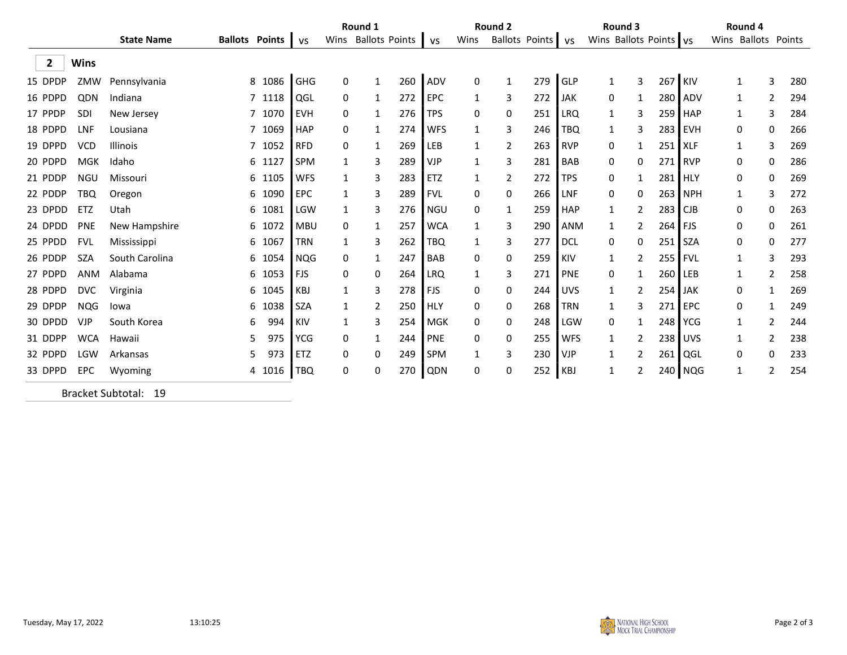| <b>State Name</b><br>Wins Ballots Points vs<br>Wins Ballots Points vs Wins Ballots Points vs<br>Wins Ballots Points<br>Ballots Points   vs<br>$\overline{\mathbf{2}}$<br><b>Wins</b><br>279 $GLP$<br>267 KIV<br>8 1086 GHG<br>260<br>ADV<br>$\mathbf{3}$<br>15 DPDP<br>ZMW Pennsylvania<br>$\mathbf 0$<br>$\mathbf 0$<br>$\mathbf{1}$<br>$\mathbf{1}$<br>$\mathbf{1}$<br>$\mathbf{1}$<br>3<br>QDN<br>272<br><b>EPC</b><br>$272$ JAK<br>16 PDPD<br>Indiana<br>7 1118 QGL<br>3<br>280 ADV<br>$\mathbf 0$<br>0<br>$\mathbf{1}$<br>$\mathbf{1}$<br>$\mathbf{2}$<br>1<br>1<br>17 PPDP SDI<br>7 1070 EVH<br>276 TPS<br>251<br>New Jersey<br>0<br>0<br>LRQ<br>3<br>$259$ HAP<br>$\mathbf 0$<br>$\mathbf{1}$<br>$\mathbf{1}$<br>$\mathbf{1}$<br>3<br>18 PDPD LNF<br>7 1069 HAP<br>274<br><b>WFS</b><br>246<br>TBQ<br>283 EVH<br>Lousiana<br>$\mathbf{0}$<br>3<br>3<br>0<br>$\mathbf{1}$<br>0<br>$\mathbf{1}$<br>$\mathbf{1}$<br>19 DPPD VCD<br>Illinois<br>263<br>7 1052 RFD<br>269<br>LEB<br>$\overline{2}$<br>RVP<br>$251$ XLF<br>$\mathbf 0$<br>$\mathbf{1}$<br>$\mathbf{1}$<br>0<br>$\mathbf{1}$<br>$\mathbf{1}$<br>3<br>20 PDPD MGK<br>281<br>Idaho<br>6 1127 SPM<br>289<br><b>VJP</b><br>BAB<br>271 RVP<br>3<br>3<br>$\mathbf{0}$<br>0<br>$\mathbf{1}$<br>0<br>0<br>$\mathbf{1}$<br>21 PDDP NGU<br>272<br>Missouri<br>$\mathbf{3}$<br>283<br><b>ETZ</b><br>$\overline{2}$<br><b>TPS</b><br>281 HLY<br>6 1105<br><b>WFS</b><br>0<br>$\mathbf{1}$<br>$\mathbf{1}$<br>0<br>$\mathbf{1}$<br>0<br>266<br>22 PDDP TBQ<br>6 1090 EPC<br>289<br><b>FVL</b><br>0<br>LNF<br>263 NPH<br>Oregon<br>3<br>0<br>0<br>0<br>3<br>$\mathbf{1}$<br>$\mathbf{1}$<br>23 DPDD ETZ<br>259<br>Utah<br>6 1081<br>LGW<br>3<br>276<br><b>NGU</b><br>$\mathbf 0$<br>HAP<br>$\overline{2}$<br>283 CJB<br>0<br>1<br>$\mathbf{1}$<br>0<br>$\mathbf{1}$<br>24 DPDD PNE<br>6 1072 MBU<br>257<br><b>WCA</b><br>290<br>ANM<br>$264$ FJS<br>New Hampshire<br>$\mathbf 0$<br>3<br>$\overline{2}$<br>0<br>1<br>0<br>$\mathbf{1}$<br>$\mathbf{1}$<br>25 PPDD FVL<br>6 1067<br>262<br><b>TBQ</b><br>277<br>$\overline{\phantom{a}}$ DCL<br>Mississippi<br><b>TRN</b><br>3<br>3<br>$\mathbf 0$<br>$\mathbf 0$<br>$251$ SZA<br>0<br>$\mathbf{1}$<br>0<br>$\mathbf{1}$<br>26 PDDP SZA<br>South Carolina<br>6 1054<br>NQG<br>247<br>259<br>KIV<br>255 FVL<br>$\mathbf 0$<br><b>BAB</b><br>0<br>0<br>$\overline{2}$<br>$\mathbf{1}$<br>3<br>$\mathbf{1}$<br>1<br>ANM<br>Alabama<br>27 PDPD<br>6 1053<br><b>LRQ</b><br>271<br>PNE<br>FJS<br>$\mathbf 0$<br>0<br>264<br>3<br>0<br>260 LEB<br>$\mathbf{1}$<br>$\mathbf{1}$<br>2<br>$\mathbf{1}$<br>28 PDPD DVC<br>6 1045 KBJ<br>3<br>278<br><b>FJS</b><br>0<br>244<br><b>UVS</b><br>254 JAK<br>Virginia<br>0<br>$\overline{2}$<br>0<br>$\mathbf{1}$<br>$\mathbf{1}$<br>$\mathbf{1}$<br>29 DPDP NQG<br>6 1038<br>250<br><b>HLY</b><br>268<br>TRN<br>lowa<br>SZA<br>$\overline{2}$<br>0<br>0<br>3<br>$271$ EPC<br>0<br>$\mathbf{1}$<br>$\mathbf{1}$<br>$\mathbf{1}$<br>30 DPDD VJP<br>South Korea<br>6 994<br>254<br><b>MGK</b><br>248<br>LGW<br>248 YCG<br>KIV<br>3<br>0<br>0<br>0<br>$2^{\circ}$<br>$\mathbf{1}$<br>$\mathbf{1}$<br>1<br>31 DDPP WCA<br>Hawaii<br>244<br>PNE<br>255<br><b>WFS</b><br>238 UVS<br>5<br>975<br>YCG<br>0<br>0<br>0<br>$\overline{2}$<br>1<br>$\mathbf{1}$<br>2<br>$\mathbf{1}$<br>32 PDPD LGW Arkansas<br>$230$ VJP<br>5 973<br>ETZ<br>249<br>SPM<br>3<br>$2^{\circ}$<br>261 QGL<br>$\mathbf 0$<br>0<br>0<br>$\mathbf{1}$<br>0<br>$\mathbf{1}$<br>$252$ KBJ<br>33 DPPD EPC Wyoming<br>270<br>QDN<br>4 1016   TBQ<br>0<br>0<br>0<br>0<br>$\overline{2}$<br>240 NQG<br>1<br>2<br>$\mathbf{1}$<br>Bracket Subtotal: 19<br>  NATIONAL HIGH SCHOOL<br>  MOCK TRIAL CHAMPIONSHIP<br>13:10:25 |  |
|------------------------------------------------------------------------------------------------------------------------------------------------------------------------------------------------------------------------------------------------------------------------------------------------------------------------------------------------------------------------------------------------------------------------------------------------------------------------------------------------------------------------------------------------------------------------------------------------------------------------------------------------------------------------------------------------------------------------------------------------------------------------------------------------------------------------------------------------------------------------------------------------------------------------------------------------------------------------------------------------------------------------------------------------------------------------------------------------------------------------------------------------------------------------------------------------------------------------------------------------------------------------------------------------------------------------------------------------------------------------------------------------------------------------------------------------------------------------------------------------------------------------------------------------------------------------------------------------------------------------------------------------------------------------------------------------------------------------------------------------------------------------------------------------------------------------------------------------------------------------------------------------------------------------------------------------------------------------------------------------------------------------------------------------------------------------------------------------------------------------------------------------------------------------------------------------------------------------------------------------------------------------------------------------------------------------------------------------------------------------------------------------------------------------------------------------------------------------------------------------------------------------------------------------------------------------------------------------------------------------------------------------------------------------------------------------------------------------------------------------------------------------------------------------------------------------------------------------------------------------------------------------------------------------------------------------------------------------------------------------------------------------------------------------------------------------------------------------------------------------------------------------------------------------------------------------------------------------------------------------------------------------------------------------------------------------------------------------------------------------------------------------------------------------------------------------------------------------------------------------------------------------------------------------------------------------------------------------------------------------------------------------------------------------------------------------------------------|--|
| 294<br>284<br>269<br>269<br>263<br>261<br>277<br>293<br>269<br>244<br>233<br>254<br>Tuesday, May 17, 2022                                                                                                                                                                                                                                                                                                                                                                                                                                                                                                                                                                                                                                                                                                                                                                                                                                                                                                                                                                                                                                                                                                                                                                                                                                                                                                                                                                                                                                                                                                                                                                                                                                                                                                                                                                                                                                                                                                                                                                                                                                                                                                                                                                                                                                                                                                                                                                                                                                                                                                                                                                                                                                                                                                                                                                                                                                                                                                                                                                                                                                                                                                                                                                                                                                                                                                                                                                                                                                                                                                                                                                                                        |  |
| 280<br>266<br>286<br>272<br>258<br>249<br>238                                                                                                                                                                                                                                                                                                                                                                                                                                                                                                                                                                                                                                                                                                                                                                                                                                                                                                                                                                                                                                                                                                                                                                                                                                                                                                                                                                                                                                                                                                                                                                                                                                                                                                                                                                                                                                                                                                                                                                                                                                                                                                                                                                                                                                                                                                                                                                                                                                                                                                                                                                                                                                                                                                                                                                                                                                                                                                                                                                                                                                                                                                                                                                                                                                                                                                                                                                                                                                                                                                                                                                                                                                                                    |  |
| Page 2 of 3                                                                                                                                                                                                                                                                                                                                                                                                                                                                                                                                                                                                                                                                                                                                                                                                                                                                                                                                                                                                                                                                                                                                                                                                                                                                                                                                                                                                                                                                                                                                                                                                                                                                                                                                                                                                                                                                                                                                                                                                                                                                                                                                                                                                                                                                                                                                                                                                                                                                                                                                                                                                                                                                                                                                                                                                                                                                                                                                                                                                                                                                                                                                                                                                                                                                                                                                                                                                                                                                                                                                                                                                                                                                                                      |  |
|                                                                                                                                                                                                                                                                                                                                                                                                                                                                                                                                                                                                                                                                                                                                                                                                                                                                                                                                                                                                                                                                                                                                                                                                                                                                                                                                                                                                                                                                                                                                                                                                                                                                                                                                                                                                                                                                                                                                                                                                                                                                                                                                                                                                                                                                                                                                                                                                                                                                                                                                                                                                                                                                                                                                                                                                                                                                                                                                                                                                                                                                                                                                                                                                                                                                                                                                                                                                                                                                                                                                                                                                                                                                                                                  |  |
|                                                                                                                                                                                                                                                                                                                                                                                                                                                                                                                                                                                                                                                                                                                                                                                                                                                                                                                                                                                                                                                                                                                                                                                                                                                                                                                                                                                                                                                                                                                                                                                                                                                                                                                                                                                                                                                                                                                                                                                                                                                                                                                                                                                                                                                                                                                                                                                                                                                                                                                                                                                                                                                                                                                                                                                                                                                                                                                                                                                                                                                                                                                                                                                                                                                                                                                                                                                                                                                                                                                                                                                                                                                                                                                  |  |
|                                                                                                                                                                                                                                                                                                                                                                                                                                                                                                                                                                                                                                                                                                                                                                                                                                                                                                                                                                                                                                                                                                                                                                                                                                                                                                                                                                                                                                                                                                                                                                                                                                                                                                                                                                                                                                                                                                                                                                                                                                                                                                                                                                                                                                                                                                                                                                                                                                                                                                                                                                                                                                                                                                                                                                                                                                                                                                                                                                                                                                                                                                                                                                                                                                                                                                                                                                                                                                                                                                                                                                                                                                                                                                                  |  |
|                                                                                                                                                                                                                                                                                                                                                                                                                                                                                                                                                                                                                                                                                                                                                                                                                                                                                                                                                                                                                                                                                                                                                                                                                                                                                                                                                                                                                                                                                                                                                                                                                                                                                                                                                                                                                                                                                                                                                                                                                                                                                                                                                                                                                                                                                                                                                                                                                                                                                                                                                                                                                                                                                                                                                                                                                                                                                                                                                                                                                                                                                                                                                                                                                                                                                                                                                                                                                                                                                                                                                                                                                                                                                                                  |  |
|                                                                                                                                                                                                                                                                                                                                                                                                                                                                                                                                                                                                                                                                                                                                                                                                                                                                                                                                                                                                                                                                                                                                                                                                                                                                                                                                                                                                                                                                                                                                                                                                                                                                                                                                                                                                                                                                                                                                                                                                                                                                                                                                                                                                                                                                                                                                                                                                                                                                                                                                                                                                                                                                                                                                                                                                                                                                                                                                                                                                                                                                                                                                                                                                                                                                                                                                                                                                                                                                                                                                                                                                                                                                                                                  |  |
|                                                                                                                                                                                                                                                                                                                                                                                                                                                                                                                                                                                                                                                                                                                                                                                                                                                                                                                                                                                                                                                                                                                                                                                                                                                                                                                                                                                                                                                                                                                                                                                                                                                                                                                                                                                                                                                                                                                                                                                                                                                                                                                                                                                                                                                                                                                                                                                                                                                                                                                                                                                                                                                                                                                                                                                                                                                                                                                                                                                                                                                                                                                                                                                                                                                                                                                                                                                                                                                                                                                                                                                                                                                                                                                  |  |
|                                                                                                                                                                                                                                                                                                                                                                                                                                                                                                                                                                                                                                                                                                                                                                                                                                                                                                                                                                                                                                                                                                                                                                                                                                                                                                                                                                                                                                                                                                                                                                                                                                                                                                                                                                                                                                                                                                                                                                                                                                                                                                                                                                                                                                                                                                                                                                                                                                                                                                                                                                                                                                                                                                                                                                                                                                                                                                                                                                                                                                                                                                                                                                                                                                                                                                                                                                                                                                                                                                                                                                                                                                                                                                                  |  |
|                                                                                                                                                                                                                                                                                                                                                                                                                                                                                                                                                                                                                                                                                                                                                                                                                                                                                                                                                                                                                                                                                                                                                                                                                                                                                                                                                                                                                                                                                                                                                                                                                                                                                                                                                                                                                                                                                                                                                                                                                                                                                                                                                                                                                                                                                                                                                                                                                                                                                                                                                                                                                                                                                                                                                                                                                                                                                                                                                                                                                                                                                                                                                                                                                                                                                                                                                                                                                                                                                                                                                                                                                                                                                                                  |  |
|                                                                                                                                                                                                                                                                                                                                                                                                                                                                                                                                                                                                                                                                                                                                                                                                                                                                                                                                                                                                                                                                                                                                                                                                                                                                                                                                                                                                                                                                                                                                                                                                                                                                                                                                                                                                                                                                                                                                                                                                                                                                                                                                                                                                                                                                                                                                                                                                                                                                                                                                                                                                                                                                                                                                                                                                                                                                                                                                                                                                                                                                                                                                                                                                                                                                                                                                                                                                                                                                                                                                                                                                                                                                                                                  |  |
|                                                                                                                                                                                                                                                                                                                                                                                                                                                                                                                                                                                                                                                                                                                                                                                                                                                                                                                                                                                                                                                                                                                                                                                                                                                                                                                                                                                                                                                                                                                                                                                                                                                                                                                                                                                                                                                                                                                                                                                                                                                                                                                                                                                                                                                                                                                                                                                                                                                                                                                                                                                                                                                                                                                                                                                                                                                                                                                                                                                                                                                                                                                                                                                                                                                                                                                                                                                                                                                                                                                                                                                                                                                                                                                  |  |
|                                                                                                                                                                                                                                                                                                                                                                                                                                                                                                                                                                                                                                                                                                                                                                                                                                                                                                                                                                                                                                                                                                                                                                                                                                                                                                                                                                                                                                                                                                                                                                                                                                                                                                                                                                                                                                                                                                                                                                                                                                                                                                                                                                                                                                                                                                                                                                                                                                                                                                                                                                                                                                                                                                                                                                                                                                                                                                                                                                                                                                                                                                                                                                                                                                                                                                                                                                                                                                                                                                                                                                                                                                                                                                                  |  |
|                                                                                                                                                                                                                                                                                                                                                                                                                                                                                                                                                                                                                                                                                                                                                                                                                                                                                                                                                                                                                                                                                                                                                                                                                                                                                                                                                                                                                                                                                                                                                                                                                                                                                                                                                                                                                                                                                                                                                                                                                                                                                                                                                                                                                                                                                                                                                                                                                                                                                                                                                                                                                                                                                                                                                                                                                                                                                                                                                                                                                                                                                                                                                                                                                                                                                                                                                                                                                                                                                                                                                                                                                                                                                                                  |  |
|                                                                                                                                                                                                                                                                                                                                                                                                                                                                                                                                                                                                                                                                                                                                                                                                                                                                                                                                                                                                                                                                                                                                                                                                                                                                                                                                                                                                                                                                                                                                                                                                                                                                                                                                                                                                                                                                                                                                                                                                                                                                                                                                                                                                                                                                                                                                                                                                                                                                                                                                                                                                                                                                                                                                                                                                                                                                                                                                                                                                                                                                                                                                                                                                                                                                                                                                                                                                                                                                                                                                                                                                                                                                                                                  |  |
|                                                                                                                                                                                                                                                                                                                                                                                                                                                                                                                                                                                                                                                                                                                                                                                                                                                                                                                                                                                                                                                                                                                                                                                                                                                                                                                                                                                                                                                                                                                                                                                                                                                                                                                                                                                                                                                                                                                                                                                                                                                                                                                                                                                                                                                                                                                                                                                                                                                                                                                                                                                                                                                                                                                                                                                                                                                                                                                                                                                                                                                                                                                                                                                                                                                                                                                                                                                                                                                                                                                                                                                                                                                                                                                  |  |
|                                                                                                                                                                                                                                                                                                                                                                                                                                                                                                                                                                                                                                                                                                                                                                                                                                                                                                                                                                                                                                                                                                                                                                                                                                                                                                                                                                                                                                                                                                                                                                                                                                                                                                                                                                                                                                                                                                                                                                                                                                                                                                                                                                                                                                                                                                                                                                                                                                                                                                                                                                                                                                                                                                                                                                                                                                                                                                                                                                                                                                                                                                                                                                                                                                                                                                                                                                                                                                                                                                                                                                                                                                                                                                                  |  |
|                                                                                                                                                                                                                                                                                                                                                                                                                                                                                                                                                                                                                                                                                                                                                                                                                                                                                                                                                                                                                                                                                                                                                                                                                                                                                                                                                                                                                                                                                                                                                                                                                                                                                                                                                                                                                                                                                                                                                                                                                                                                                                                                                                                                                                                                                                                                                                                                                                                                                                                                                                                                                                                                                                                                                                                                                                                                                                                                                                                                                                                                                                                                                                                                                                                                                                                                                                                                                                                                                                                                                                                                                                                                                                                  |  |
|                                                                                                                                                                                                                                                                                                                                                                                                                                                                                                                                                                                                                                                                                                                                                                                                                                                                                                                                                                                                                                                                                                                                                                                                                                                                                                                                                                                                                                                                                                                                                                                                                                                                                                                                                                                                                                                                                                                                                                                                                                                                                                                                                                                                                                                                                                                                                                                                                                                                                                                                                                                                                                                                                                                                                                                                                                                                                                                                                                                                                                                                                                                                                                                                                                                                                                                                                                                                                                                                                                                                                                                                                                                                                                                  |  |
|                                                                                                                                                                                                                                                                                                                                                                                                                                                                                                                                                                                                                                                                                                                                                                                                                                                                                                                                                                                                                                                                                                                                                                                                                                                                                                                                                                                                                                                                                                                                                                                                                                                                                                                                                                                                                                                                                                                                                                                                                                                                                                                                                                                                                                                                                                                                                                                                                                                                                                                                                                                                                                                                                                                                                                                                                                                                                                                                                                                                                                                                                                                                                                                                                                                                                                                                                                                                                                                                                                                                                                                                                                                                                                                  |  |
|                                                                                                                                                                                                                                                                                                                                                                                                                                                                                                                                                                                                                                                                                                                                                                                                                                                                                                                                                                                                                                                                                                                                                                                                                                                                                                                                                                                                                                                                                                                                                                                                                                                                                                                                                                                                                                                                                                                                                                                                                                                                                                                                                                                                                                                                                                                                                                                                                                                                                                                                                                                                                                                                                                                                                                                                                                                                                                                                                                                                                                                                                                                                                                                                                                                                                                                                                                                                                                                                                                                                                                                                                                                                                                                  |  |
|                                                                                                                                                                                                                                                                                                                                                                                                                                                                                                                                                                                                                                                                                                                                                                                                                                                                                                                                                                                                                                                                                                                                                                                                                                                                                                                                                                                                                                                                                                                                                                                                                                                                                                                                                                                                                                                                                                                                                                                                                                                                                                                                                                                                                                                                                                                                                                                                                                                                                                                                                                                                                                                                                                                                                                                                                                                                                                                                                                                                                                                                                                                                                                                                                                                                                                                                                                                                                                                                                                                                                                                                                                                                                                                  |  |
|                                                                                                                                                                                                                                                                                                                                                                                                                                                                                                                                                                                                                                                                                                                                                                                                                                                                                                                                                                                                                                                                                                                                                                                                                                                                                                                                                                                                                                                                                                                                                                                                                                                                                                                                                                                                                                                                                                                                                                                                                                                                                                                                                                                                                                                                                                                                                                                                                                                                                                                                                                                                                                                                                                                                                                                                                                                                                                                                                                                                                                                                                                                                                                                                                                                                                                                                                                                                                                                                                                                                                                                                                                                                                                                  |  |
|                                                                                                                                                                                                                                                                                                                                                                                                                                                                                                                                                                                                                                                                                                                                                                                                                                                                                                                                                                                                                                                                                                                                                                                                                                                                                                                                                                                                                                                                                                                                                                                                                                                                                                                                                                                                                                                                                                                                                                                                                                                                                                                                                                                                                                                                                                                                                                                                                                                                                                                                                                                                                                                                                                                                                                                                                                                                                                                                                                                                                                                                                                                                                                                                                                                                                                                                                                                                                                                                                                                                                                                                                                                                                                                  |  |
|                                                                                                                                                                                                                                                                                                                                                                                                                                                                                                                                                                                                                                                                                                                                                                                                                                                                                                                                                                                                                                                                                                                                                                                                                                                                                                                                                                                                                                                                                                                                                                                                                                                                                                                                                                                                                                                                                                                                                                                                                                                                                                                                                                                                                                                                                                                                                                                                                                                                                                                                                                                                                                                                                                                                                                                                                                                                                                                                                                                                                                                                                                                                                                                                                                                                                                                                                                                                                                                                                                                                                                                                                                                                                                                  |  |
|                                                                                                                                                                                                                                                                                                                                                                                                                                                                                                                                                                                                                                                                                                                                                                                                                                                                                                                                                                                                                                                                                                                                                                                                                                                                                                                                                                                                                                                                                                                                                                                                                                                                                                                                                                                                                                                                                                                                                                                                                                                                                                                                                                                                                                                                                                                                                                                                                                                                                                                                                                                                                                                                                                                                                                                                                                                                                                                                                                                                                                                                                                                                                                                                                                                                                                                                                                                                                                                                                                                                                                                                                                                                                                                  |  |
|                                                                                                                                                                                                                                                                                                                                                                                                                                                                                                                                                                                                                                                                                                                                                                                                                                                                                                                                                                                                                                                                                                                                                                                                                                                                                                                                                                                                                                                                                                                                                                                                                                                                                                                                                                                                                                                                                                                                                                                                                                                                                                                                                                                                                                                                                                                                                                                                                                                                                                                                                                                                                                                                                                                                                                                                                                                                                                                                                                                                                                                                                                                                                                                                                                                                                                                                                                                                                                                                                                                                                                                                                                                                                                                  |  |
|                                                                                                                                                                                                                                                                                                                                                                                                                                                                                                                                                                                                                                                                                                                                                                                                                                                                                                                                                                                                                                                                                                                                                                                                                                                                                                                                                                                                                                                                                                                                                                                                                                                                                                                                                                                                                                                                                                                                                                                                                                                                                                                                                                                                                                                                                                                                                                                                                                                                                                                                                                                                                                                                                                                                                                                                                                                                                                                                                                                                                                                                                                                                                                                                                                                                                                                                                                                                                                                                                                                                                                                                                                                                                                                  |  |
|                                                                                                                                                                                                                                                                                                                                                                                                                                                                                                                                                                                                                                                                                                                                                                                                                                                                                                                                                                                                                                                                                                                                                                                                                                                                                                                                                                                                                                                                                                                                                                                                                                                                                                                                                                                                                                                                                                                                                                                                                                                                                                                                                                                                                                                                                                                                                                                                                                                                                                                                                                                                                                                                                                                                                                                                                                                                                                                                                                                                                                                                                                                                                                                                                                                                                                                                                                                                                                                                                                                                                                                                                                                                                                                  |  |
|                                                                                                                                                                                                                                                                                                                                                                                                                                                                                                                                                                                                                                                                                                                                                                                                                                                                                                                                                                                                                                                                                                                                                                                                                                                                                                                                                                                                                                                                                                                                                                                                                                                                                                                                                                                                                                                                                                                                                                                                                                                                                                                                                                                                                                                                                                                                                                                                                                                                                                                                                                                                                                                                                                                                                                                                                                                                                                                                                                                                                                                                                                                                                                                                                                                                                                                                                                                                                                                                                                                                                                                                                                                                                                                  |  |
|                                                                                                                                                                                                                                                                                                                                                                                                                                                                                                                                                                                                                                                                                                                                                                                                                                                                                                                                                                                                                                                                                                                                                                                                                                                                                                                                                                                                                                                                                                                                                                                                                                                                                                                                                                                                                                                                                                                                                                                                                                                                                                                                                                                                                                                                                                                                                                                                                                                                                                                                                                                                                                                                                                                                                                                                                                                                                                                                                                                                                                                                                                                                                                                                                                                                                                                                                                                                                                                                                                                                                                                                                                                                                                                  |  |
|                                                                                                                                                                                                                                                                                                                                                                                                                                                                                                                                                                                                                                                                                                                                                                                                                                                                                                                                                                                                                                                                                                                                                                                                                                                                                                                                                                                                                                                                                                                                                                                                                                                                                                                                                                                                                                                                                                                                                                                                                                                                                                                                                                                                                                                                                                                                                                                                                                                                                                                                                                                                                                                                                                                                                                                                                                                                                                                                                                                                                                                                                                                                                                                                                                                                                                                                                                                                                                                                                                                                                                                                                                                                                                                  |  |
|                                                                                                                                                                                                                                                                                                                                                                                                                                                                                                                                                                                                                                                                                                                                                                                                                                                                                                                                                                                                                                                                                                                                                                                                                                                                                                                                                                                                                                                                                                                                                                                                                                                                                                                                                                                                                                                                                                                                                                                                                                                                                                                                                                                                                                                                                                                                                                                                                                                                                                                                                                                                                                                                                                                                                                                                                                                                                                                                                                                                                                                                                                                                                                                                                                                                                                                                                                                                                                                                                                                                                                                                                                                                                                                  |  |
|                                                                                                                                                                                                                                                                                                                                                                                                                                                                                                                                                                                                                                                                                                                                                                                                                                                                                                                                                                                                                                                                                                                                                                                                                                                                                                                                                                                                                                                                                                                                                                                                                                                                                                                                                                                                                                                                                                                                                                                                                                                                                                                                                                                                                                                                                                                                                                                                                                                                                                                                                                                                                                                                                                                                                                                                                                                                                                                                                                                                                                                                                                                                                                                                                                                                                                                                                                                                                                                                                                                                                                                                                                                                                                                  |  |
|                                                                                                                                                                                                                                                                                                                                                                                                                                                                                                                                                                                                                                                                                                                                                                                                                                                                                                                                                                                                                                                                                                                                                                                                                                                                                                                                                                                                                                                                                                                                                                                                                                                                                                                                                                                                                                                                                                                                                                                                                                                                                                                                                                                                                                                                                                                                                                                                                                                                                                                                                                                                                                                                                                                                                                                                                                                                                                                                                                                                                                                                                                                                                                                                                                                                                                                                                                                                                                                                                                                                                                                                                                                                                                                  |  |
|                                                                                                                                                                                                                                                                                                                                                                                                                                                                                                                                                                                                                                                                                                                                                                                                                                                                                                                                                                                                                                                                                                                                                                                                                                                                                                                                                                                                                                                                                                                                                                                                                                                                                                                                                                                                                                                                                                                                                                                                                                                                                                                                                                                                                                                                                                                                                                                                                                                                                                                                                                                                                                                                                                                                                                                                                                                                                                                                                                                                                                                                                                                                                                                                                                                                                                                                                                                                                                                                                                                                                                                                                                                                                                                  |  |
|                                                                                                                                                                                                                                                                                                                                                                                                                                                                                                                                                                                                                                                                                                                                                                                                                                                                                                                                                                                                                                                                                                                                                                                                                                                                                                                                                                                                                                                                                                                                                                                                                                                                                                                                                                                                                                                                                                                                                                                                                                                                                                                                                                                                                                                                                                                                                                                                                                                                                                                                                                                                                                                                                                                                                                                                                                                                                                                                                                                                                                                                                                                                                                                                                                                                                                                                                                                                                                                                                                                                                                                                                                                                                                                  |  |